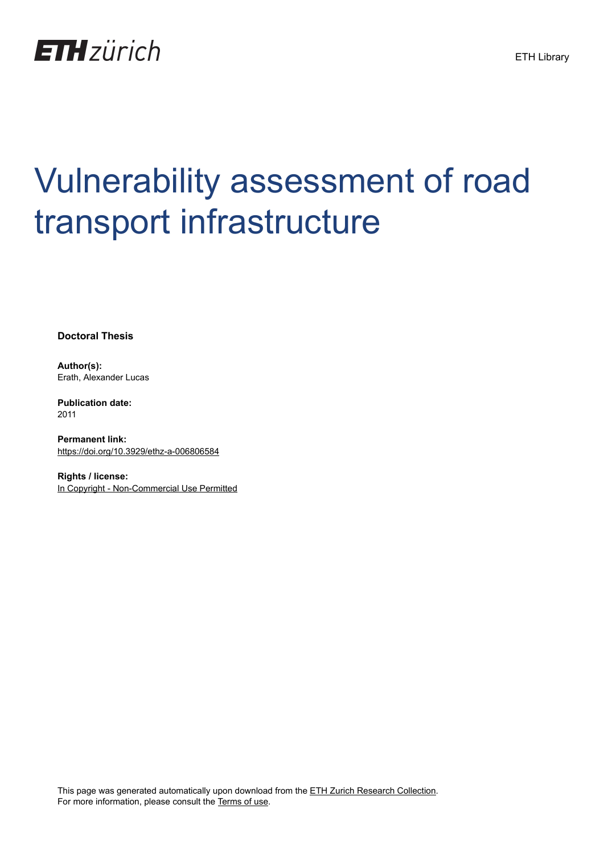

# Vulnerability assessment of road transport infrastructure

**Doctoral Thesis**

**Author(s):** Erath, Alexander Lucas

**Publication date:** 2011

**Permanent link:** <https://doi.org/10.3929/ethz-a-006806584>

**Rights / license:** [In Copyright - Non-Commercial Use Permitted](http://rightsstatements.org/page/InC-NC/1.0/)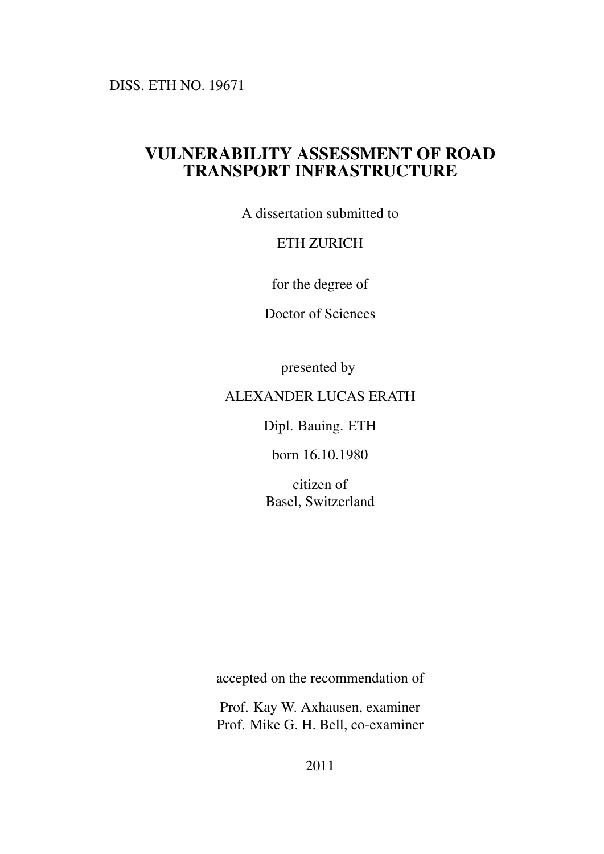DISS. ETH NO. 19671

#### VULNERABILITY ASSESSMENT OF ROAD TRANSPORT INFRASTRUCTURE

A dissertation submitted to

#### ETH ZURICH

for the degree of

Doctor of Sciences

presented by

#### ALEXANDER LUCAS ERATH

Dipl. Bauing. ETH

born 16.10.1980

citizen of Basel, Switzerland

accepted on the recommendation of

Prof. Kay W. Axhausen, examiner Prof. Mike G. H. Bell, co-examiner

2011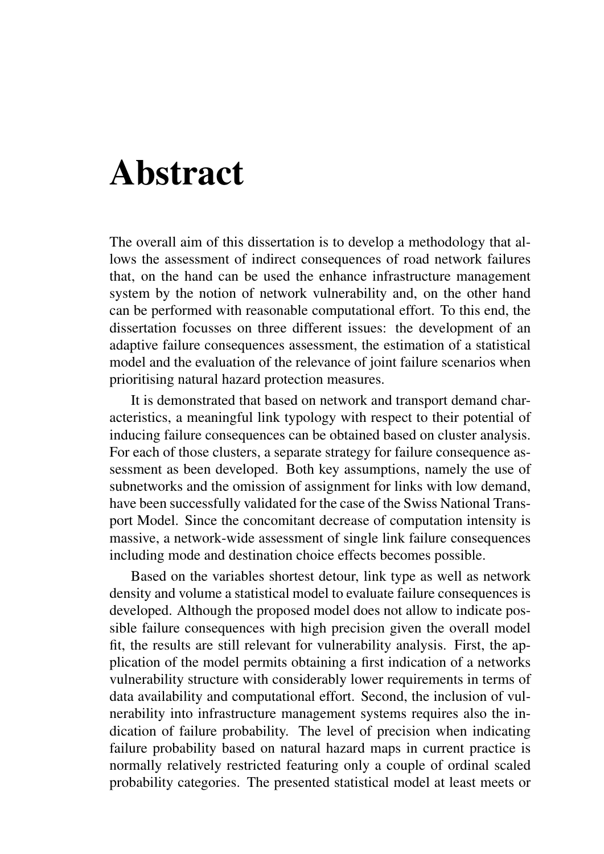### Abstract

The overall aim of this dissertation is to develop a methodology that allows the assessment of indirect consequences of road network failures that, on the hand can be used the enhance infrastructure management system by the notion of network vulnerability and, on the other hand can be performed with reasonable computational effort. To this end, the dissertation focusses on three different issues: the development of an adaptive failure consequences assessment, the estimation of a statistical model and the evaluation of the relevance of joint failure scenarios when prioritising natural hazard protection measures.

It is demonstrated that based on network and transport demand characteristics, a meaningful link typology with respect to their potential of inducing failure consequences can be obtained based on cluster analysis. For each of those clusters, a separate strategy for failure consequence assessment as been developed. Both key assumptions, namely the use of subnetworks and the omission of assignment for links with low demand, have been successfully validated for the case of the Swiss National Transport Model. Since the concomitant decrease of computation intensity is massive, a network-wide assessment of single link failure consequences including mode and destination choice effects becomes possible.

Based on the variables shortest detour, link type as well as network density and volume a statistical model to evaluate failure consequences is developed. Although the proposed model does not allow to indicate possible failure consequences with high precision given the overall model fit, the results are still relevant for vulnerability analysis. First, the application of the model permits obtaining a first indication of a networks vulnerability structure with considerably lower requirements in terms of data availability and computational effort. Second, the inclusion of vulnerability into infrastructure management systems requires also the indication of failure probability. The level of precision when indicating failure probability based on natural hazard maps in current practice is normally relatively restricted featuring only a couple of ordinal scaled probability categories. The presented statistical model at least meets or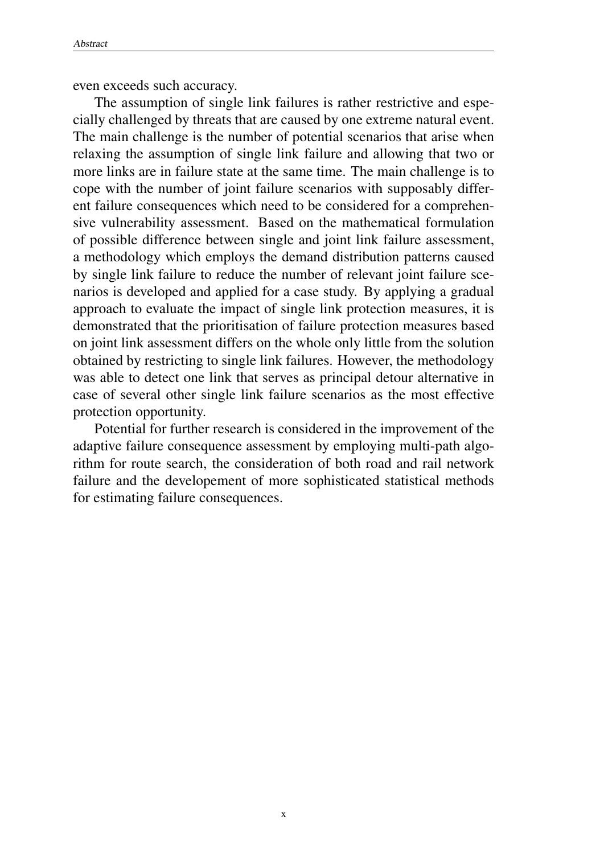even exceeds such accuracy.

The assumption of single link failures is rather restrictive and especially challenged by threats that are caused by one extreme natural event. The main challenge is the number of potential scenarios that arise when relaxing the assumption of single link failure and allowing that two or more links are in failure state at the same time. The main challenge is to cope with the number of joint failure scenarios with supposably different failure consequences which need to be considered for a comprehensive vulnerability assessment. Based on the mathematical formulation of possible difference between single and joint link failure assessment, a methodology which employs the demand distribution patterns caused by single link failure to reduce the number of relevant joint failure scenarios is developed and applied for a case study. By applying a gradual approach to evaluate the impact of single link protection measures, it is demonstrated that the prioritisation of failure protection measures based on joint link assessment differs on the whole only little from the solution obtained by restricting to single link failures. However, the methodology was able to detect one link that serves as principal detour alternative in case of several other single link failure scenarios as the most effective protection opportunity.

Potential for further research is considered in the improvement of the adaptive failure consequence assessment by employing multi-path algorithm for route search, the consideration of both road and rail network failure and the developement of more sophisticated statistical methods for estimating failure consequences.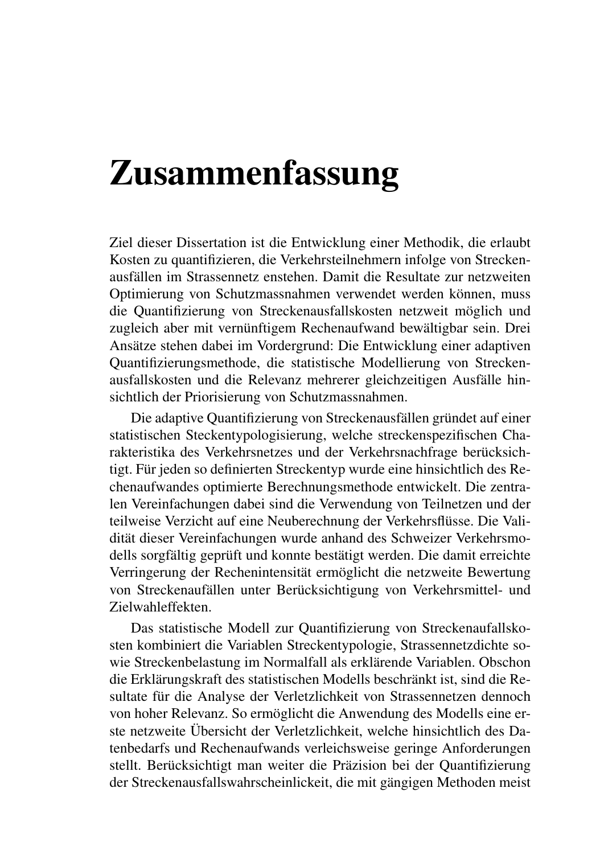## Zusammenfassung

Ziel dieser Dissertation ist die Entwicklung einer Methodik, die erlaubt Kosten zu quantifizieren, die Verkehrsteilnehmern infolge von Streckenausfällen im Strassennetz enstehen. Damit die Resultate zur netzweiten Optimierung von Schutzmassnahmen verwendet werden können, muss die Quantifizierung von Streckenausfallskosten netzweit möglich und zugleich aber mit vernünftigem Rechenaufwand bewältigbar sein. Drei Ansätze stehen dabei im Vordergrund: Die Entwicklung einer adaptiven Quantifizierungsmethode, die statistische Modellierung von Streckenausfallskosten und die Relevanz mehrerer gleichzeitigen Ausfälle hinsichtlich der Priorisierung von Schutzmassnahmen.

Die adaptive Quantifizierung von Streckenausfällen gründet auf einer statistischen Steckentypologisierung, welche streckenspezifischen Charakteristika des Verkehrsnetzes und der Verkehrsnachfrage berücksichtigt. Für jeden so definierten Streckentyp wurde eine hinsichtlich des Rechenaufwandes optimierte Berechnungsmethode entwickelt. Die zentralen Vereinfachungen dabei sind die Verwendung von Teilnetzen und der teilweise Verzicht auf eine Neuberechnung der Verkehrsflüsse. Die Validität dieser Vereinfachungen wurde anhand des Schweizer Verkehrsmodells sorgfältig geprüft und konnte bestätigt werden. Die damit erreichte Verringerung der Rechenintensität ermöglicht die netzweite Bewertung von Streckenaufällen unter Berücksichtigung von Verkehrsmittel- und Zielwahleffekten.

Das statistische Modell zur Quantifizierung von Streckenaufallskosten kombiniert die Variablen Streckentypologie, Strassennetzdichte sowie Streckenbelastung im Normalfall als erklärende Variablen. Obschon die Erklärungskraft des statistischen Modells beschränkt ist, sind die Resultate für die Analyse der Verletzlichkeit von Strassennetzen dennoch von hoher Relevanz. So ermöglicht die Anwendung des Modells eine erste netzweite Übersicht der Verletzlichkeit, welche hinsichtlich des Datenbedarfs und Rechenaufwands verleichsweise geringe Anforderungen stellt. Berücksichtigt man weiter die Präzision bei der Quantifizierung der Streckenausfallswahrscheinlickeit, die mit gängigen Methoden meist